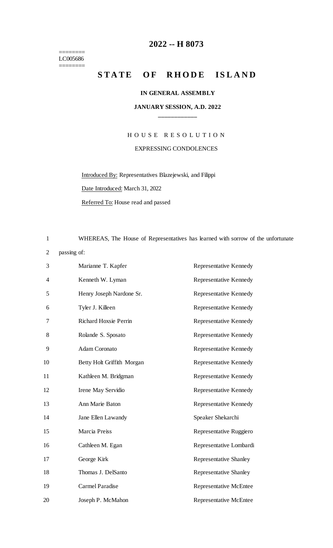======== LC005686 ========

## **-- H 8073**

# STATE OF RHODE ISLAND

#### **IN GENERAL ASSEMBLY**

### **JANUARY SESSION, A.D. 2022 \_\_\_\_\_\_\_\_\_\_\_\_**

# H O U S E R E S O L U T I O N EXPRESSING CONDOLENCES

Introduced By: Representatives Blazejewski, and Filippi

Date Introduced: March 31, 2022

Referred To: House read and passed

WHEREAS, The House of Representatives has learned with sorrow of the unfortunate

### passing of:

| 3              | Marianne T. Kapfer         | Representative Kennedy        |
|----------------|----------------------------|-------------------------------|
| $\overline{4}$ | Kenneth W. Lyman           | Representative Kennedy        |
| 5              | Henry Joseph Nardone Sr.   | Representative Kennedy        |
| 6              | Tyler J. Killeen           | Representative Kennedy        |
| 7              | Richard Hoxsie Perrin      | Representative Kennedy        |
| 8              | Rolande S. Sposato         | Representative Kennedy        |
| 9              | Adam Coronato              | Representative Kennedy        |
| 10             | Betty Holt Griffith Morgan | Representative Kennedy        |
| 11             | Kathleen M. Bridgman       | Representative Kennedy        |
| 12             | Irene May Servidio         | Representative Kennedy        |
| 13             | Ann Marie Baton            | Representative Kennedy        |
| 14             | Jane Ellen Lawandy         | Speaker Shekarchi             |
| 15             | Marcia Preiss              | Representative Ruggiero       |
| 16             | Cathleen M. Egan           | Representative Lombardi       |
| 17             | George Kirk                | <b>Representative Shanley</b> |
| 18             | Thomas J. DelSanto         | <b>Representative Shanley</b> |
| 19             | Carmel Paradise            | <b>Representative McEntee</b> |
| 20             | Joseph P. McMahon          | <b>Representative McEntee</b> |